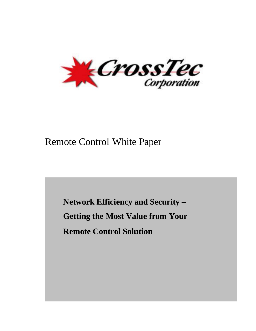

# Remote Control White Paper

**Network Efficiency and Security – Getting the Most Value from Your Remote Control Solution**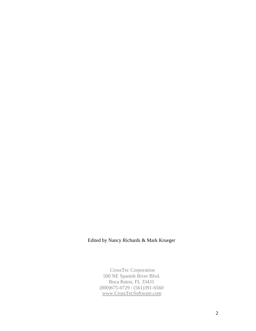### Edited by Nancy Richards & Mark Krueger

CrossTec Corporation 500 NE Spanish River Blvd. Boca Raton, FL 33431 (800)675-0729 / (561)391-6560 www.CrossTecSoftware.com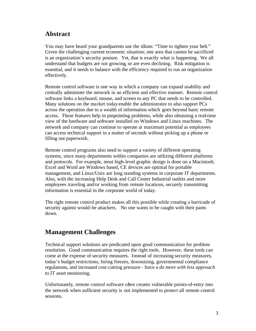# **Abstract**

You may have heard your grandparents use the idiom: "Time to tighten your belt." Given the challenging current economic situation; one area that cannot be sacrificed is an organization's security posture. Yet, that is exactly what is happening. We all understand that budgets are not growing, or are even declining. Risk mitigation is essential, and it needs to balance with the efficiency required to run an organization effectively.

Remote control software is one way in which a company can expand usability and centrally administer the network in an efficient and effective manner. Remote control software links a keyboard, mouse, and screen to any PC that needs to be controlled. Many solutions on the market today enable the administrator to also support PCs across the operation due to a wealth of information which goes beyond basic remote access. These features help in pinpointing problems, while also obtaining a real-time view of the hardware and software installed on Windows and Linux machines. The network and company can continue to operate at maximum potential as employees can access technical support in a matter of seconds without picking up a phone or filling out paperwork.

Remote control programs also need to support a variety of different operating systems, since many departments within companies are utilizing different platforms and protocols. For example, most high-level graphic design is done on a Macintosh; Excel and Word are Windows based, CE devices are optimal for portable management, and Linux/Unix are long standing systems in corporate IT departments. Also, with the increasing Help Desk and Call Center Industrial outlets and more employees traveling and/or working from remote locations, securely transmitting information is essential in the corporate world of today.

The right remote control product makes all this possible while creating a barricade of security against would-be attackers. No one wants to be caught with their pants down.

# **Management Challenges**

Technical support solutions are predicated upon good communication for problem resolution. Good communication requires the right tools. However, these tools can come at the expense of security measures. Instead of increasing security measures, today's budget restrictions, hiring freezes, downsizing, governmental compliance regulations, and increased cost-cutting pressure - force a *do more with less approach* to IT asset monitoring.

Unfortunately, remote control software often creates vulnerable points-of-entry into the network when sufficient security is not implemented to protect all remote control sessions.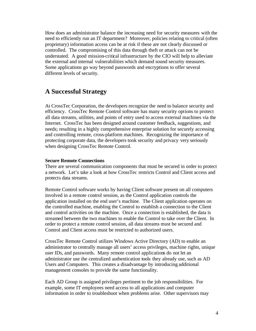How does an administrator balance the increasing need for security measures with the need to efficiently run an IT department? Moreover, policies relating to critical (often proprietary) information access can be at risk if these are not clearly discussed or controlled. The compromising of this data through theft or attack can not be understated. A good mission-critical infrastructure by the CIO will help to alleviate the external and internal vulnerabilities which demand sound security measures. Some applications go way beyond passwords and encryptions to offer several different levels of security.

## **A Successful Strategy**

At CrossTec Corporation, the developers recognize the need to balance security and efficiency. CrossTec Remote Control software has many security options to protect all data streams, utilities, and points of entry used to access external machines via the Internet. CrossTec has been designed around customer feedback, suggestions, and needs; resulting in a highly comprehensive enterprise solution for securely accessing and controlling remote, cross-platform machines. Recognizing the importance of protecting corporate data, the developers took security and privacy very seriously when designing CrossTec Remote Control.

#### **Secure Remote Connections**

There are several communication components that must be secured in order to protect a network. Let's take a look at how CrossTec restricts Control and Client access and protects data streams.

Remote Control software works by having Client software present on all computers involved in a remote control session, as the Control application controls the application installed on the end user's machine. The Client application operates on the controlled machine, enabling the Control to establish a connection to the Client and control activities on the machine. Once a connection is established, the data is streamed between the two machines to enable the Control to take over the Client. In order to protect a remote control session, all data streams must be secured and Control and Client access must be restricted to authorized users.

CrossTec Remote Control utilizes Windows Active Directory (AD) to enable an administrator to centrally manage all users' access privileges, machine rights, unique user IDs, and passwords. Many remote control applications do not let an administrator use the centralized authentication tools they already use, such as AD Users and Computers. This creates a disadvantage by introducing additional management consoles to provide the same functionality.

Each AD Group is assigned privileges pertinent to the job responsibilities. For example, some IT employees need access to all applications and computer information in order to troubleshoot when problems arise. Other supervisors may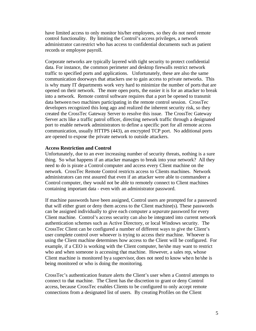have limited access to only monitor his/her employees, so they do not need remote control functionality. By limiting the Control's access privileges, a network administrator can restrict who has access to confidential documents such as patient records or employee payroll.

Corporate networks are typically layered with tight security to protect confidential data. For instance, the common perimeter and desktop firewalls restrict network traffic to specified ports and applications. Unfortunately, these are also the same communication doorways that attackers use to gain access to private networks. This is why many IT departments work very hard to minimize the number of ports that are opened on their network. The more open ports, the easier it is for an attacker to break into a network. Remote control software requires that a port be opened to transmit data between two machines participating in the remote control session. CrossTec developers recognized this long ago and realized the inherent security risk, so they created the CrossTec Gateway Server to resolve this issue. The CrossTec Gateway Server acts like a traffic patrol officer, directing network traffic through a designated port to enable network administrators to define a specific port for all remote access communication, usually HTTPS (443), an encrypted TCP port. No additional ports are opened to expose the private network to outside attackers.

#### **Access Restriction and Control**

Unfortunately, due to an ever increasing number of security threats, nothing is a sure thing. So what happens if an attacker manages to break into your network? All they need to do is pirate a Control computer and access every Client machine on the network. CrossTec Remote Control restricts access to Clients machines. Network administrators can rest assured that even if an attacker were able to commandeer a Control computer, they would not be able to remotely connect to Client machines containing important data - even with an administrator password.

If machine passwords have been assigned, Control users are prompted for a password that will either grant or deny them access to the Client machine(s). These passwords can be assigned individually to give each computer a *separate* password for every Client machine. Control's access security can also be integrated into current network authentication schemes such as Active Directory, or local Windows security. The CrossTec Client can be configured a number of different ways to give the Client's user complete control over whoever is trying to access their machine. Whoever is using the Client machine determines how access to the Client will be configured. For example, if a CEO is working with the Client computer, he/she may want to restrict who and when someone is accessing that machine. However, a sales rep, whose Client machine is monitored by a supervisor, does not need to know when he/she is being monitored or who is doing the monitoring.

CrossTec's authentication feature alerts the Client's user when a Control attempts to connect to that machine. The Client has the discretion to grant or deny Control access, because CrossTec enables Clients to be configured to only accept remote connections from a designated list of users. By creating Profiles on the Client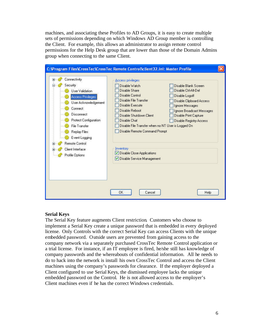machines, and associating these Profiles to AD Groups, it is easy to create multiple sets of permissions depending on which Windows AD Group member is controlling the Client. For example, this allows an administrator to assign remote control permissions for the Help Desk group that are lower than those of the Domain Admins group when connecting to the same Client.



#### **Serial Keys**

The Serial Key feature augments Client restriction. Customers who choose to implement a Serial Key create a unique password that is embedded in every deployed license. Only Controls with the correct Serial Key can access Clients with the unique embedded password. Outside users are prevented from gaining access to the company network via a separately purchased CrossTec Remote Control application or a trial license. For instance, if an IT employee is fired, he/she still has knowledge of company passwords and the whereabouts of confidential information. All he needs to do to hack into the network is install his own CrossTec Control and access the Client machines using the company's passwords for clearance. If the employer deployed a Client configured to use Serial Keys, the dismissed employee lacks the unique embedded password on the Control. He is not allowed access to the employer's Client machines even if he has the correct Windows credentials.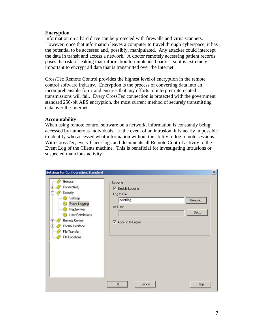#### **Encryption**

Information on a hard drive can be protected with firewalls and virus scanners. However, once that information leaves a computer to travel through cyberspace, it has the potential to be accessed and, possibly, manipulated. Any attacker could intercept the data in transit and access a network. A doctor remotely accessing patient records poses the risk of leaking that information to unintended parties, so it is extremely important to encrypt all data that is transmitted over the Internet.

CrossTec Remote Control provides the highest level of encryption in the remote control software industry. Encryption is the process of converting data into an incomprehensible form, and ensures that any efforts to interpret intercepted transmissions will fail. Every CrossTec connection is protected with the government standard 256-bit AES encryption, the most current method of securely transmitting data over the Internet.

#### **Accountability**

When using remote control software on a network, information is constantly being accessed by numerous individuals. In the event of an intrusion, it is nearly impossible to identify who accessed what information without the ability to log remote sessions. With CrossTec, every Client logs and documents all Remote Control activity to the Event Log of the Clients machine. This is beneficial for investigating intrusions or suspected malicious activity.

| General<br>Connectivity<br>田<br>Security<br>Settings<br>Event Logging<br>Replay Files<br>User Permissions<br><b>Remote Control</b><br>庄<br>Control Interface<br>庄<br>File Transfer<br>File Locations | Logging<br><b>Ⅳ</b> Enable Logging<br>Log to File:<br>pcictLlog<br>As User:<br>Ⅳ Append to Logfile | Browse<br>Set |
|------------------------------------------------------------------------------------------------------------------------------------------------------------------------------------------------------|----------------------------------------------------------------------------------------------------|---------------|
|                                                                                                                                                                                                      | OK.<br>Cancel                                                                                      | Help          |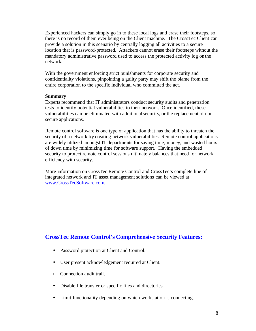Experienced hackers can simply go in to these local logs and erase their footsteps, so there is no record of them ever being on the Client machine. The CrossTec Client can provide a solution in this scenario by centrally logging all activities to a secure location that is password-protected. Attackers cannot erase their footsteps without the mandatory administrative password used to access the protected activity log on the network.

With the government enforcing strict punishments for corporate security and confidentiality violations, pinpointing a guilty party may shift the blame from the entire corporation to the specific individual who committed the act.

#### **Summary**

Experts recommend that IT administrators conduct security audits and penetration tests to identify potential vulnerabilities to their network. Once identified, these vulnerabilities can be eliminated with additionalsecurity, or the replacement of non secure applications.

Remote control software is one type of application that has the ability to threaten the security of a network by creating network vulnerabilities. Remote control applications are widely utilized amongst IT departments for saving time, money, and wasted hours of down time by minimizing time for software support. Having the embedded security to protect remote control sessions ultimately balances that need for network efficiency with security.

More information on CrossTec Remote Control and CrossTec's complete line of integrated network and IT asset management solutions can be viewed at www.CrossTecSoftware.com.

### **CrossTec Remote Control's Comprehensive Security Features:**

- Password protection at Client and Control.
- User present acknowledgement required at Client.
- Connection audit trail.
- Disable file transfer or specific files and directories.
- Limit functionality depending on which workstation is connecting.